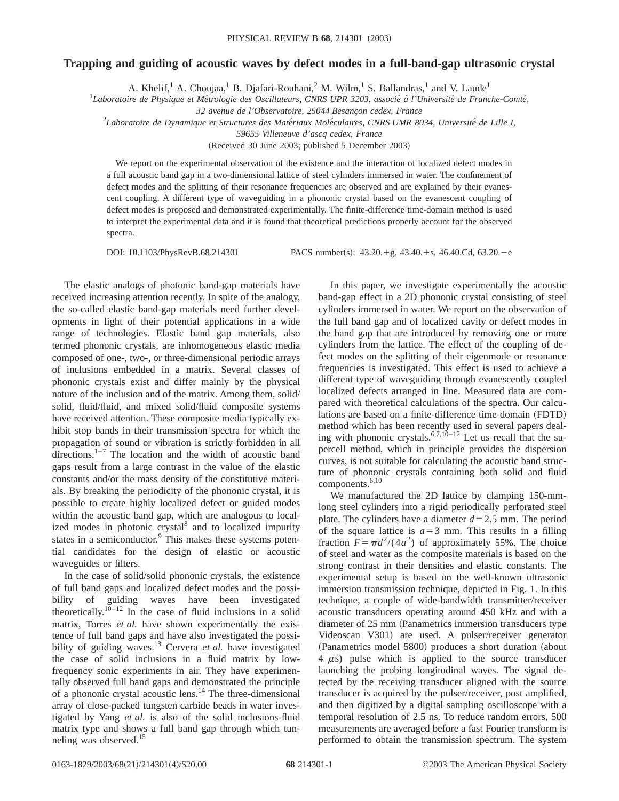## **Trapping and guiding of acoustic waves by defect modes in a full-band-gap ultrasonic crystal**

A. Khelif,<sup>1</sup> A. Choujaa,<sup>1</sup> B. Djafari-Rouhani,<sup>2</sup> M. Wilm,<sup>1</sup> S. Ballandras,<sup>1</sup> and V. Laude<sup>1</sup>

<sup>1</sup>Laboratoire de Physique et Métrologie des Oscillateurs, CNRS UPR 3203, associé à l'Université de Franche-Comté,

*32 avenue de l'Observatoire, 25044 Besanc¸on cedex, France*

2 *Laboratoire de Dynamique et Structures des Mate´riaux Mole´culaires, CNRS UMR 8034, Universite´ de Lille I,*

*59655 Villeneuve d'ascq cedex, France*

(Received 30 June 2003; published 5 December 2003)

We report on the experimental observation of the existence and the interaction of localized defect modes in a full acoustic band gap in a two-dimensional lattice of steel cylinders immersed in water. The confinement of defect modes and the splitting of their resonance frequencies are observed and are explained by their evanescent coupling. A different type of waveguiding in a phononic crystal based on the evanescent coupling of defect modes is proposed and demonstrated experimentally. The finite-difference time-domain method is used to interpret the experimental data and it is found that theoretical predictions properly account for the observed spectra.

DOI: 10.1103/PhysRevB.68.214301 PACS number(s):  $43.20 + g$ ,  $43.40 + s$ ,  $46.40 \text{Cd}, 63.20 - e$ 

The elastic analogs of photonic band-gap materials have received increasing attention recently. In spite of the analogy, the so-called elastic band-gap materials need further developments in light of their potential applications in a wide range of technologies. Elastic band gap materials, also termed phononic crystals, are inhomogeneous elastic media composed of one-, two-, or three-dimensional periodic arrays of inclusions embedded in a matrix. Several classes of phononic crystals exist and differ mainly by the physical nature of the inclusion and of the matrix. Among them, solid/ solid, fluid/fluid, and mixed solid/fluid composite systems have received attention. These composite media typically exhibit stop bands in their transmission spectra for which the propagation of sound or vibration is strictly forbidden in all directions. $1-7$  The location and the width of acoustic band gaps result from a large contrast in the value of the elastic constants and/or the mass density of the constitutive materials. By breaking the periodicity of the phononic crystal, it is possible to create highly localized defect or guided modes within the acoustic band gap, which are analogous to localized modes in photonic crystal $8$  and to localized impurity states in a semiconductor.<sup>9</sup> This makes these systems potential candidates for the design of elastic or acoustic waveguides or filters.

In the case of solid/solid phononic crystals, the existence of full band gaps and localized defect modes and the possibility of guiding waves have been investigated theoretically.<sup>10–12</sup> In the case of fluid inclusions in a solid matrix, Torres *et al.* have shown experimentally the existence of full band gaps and have also investigated the possibility of guiding waves.<sup>13</sup> Cervera *et al.* have investigated the case of solid inclusions in a fluid matrix by lowfrequency sonic experiments in air. They have experimentally observed full band gaps and demonstrated the principle of a phononic crystal acoustic lens.14 The three-dimensional array of close-packed tungsten carbide beads in water investigated by Yang *et al.* is also of the solid inclusions-fluid matrix type and shows a full band gap through which tunneling was observed.<sup>15</sup>

In this paper, we investigate experimentally the acoustic band-gap effect in a 2D phononic crystal consisting of steel cylinders immersed in water. We report on the observation of the full band gap and of localized cavity or defect modes in the band gap that are introduced by removing one or more cylinders from the lattice. The effect of the coupling of defect modes on the splitting of their eigenmode or resonance frequencies is investigated. This effect is used to achieve a different type of waveguiding through evanescently coupled localized defects arranged in line. Measured data are compared with theoretical calculations of the spectra. Our calculations are based on a finite-difference time-domain (FDTD) method which has been recently used in several papers dealing with phononic crystals.<sup>6,7,10–12</sup> Let us recall that the supercell method, which in principle provides the dispersion curves, is not suitable for calculating the acoustic band structure of phononic crystals containing both solid and fluid components.6,10

We manufactured the 2D lattice by clamping 150-mmlong steel cylinders into a rigid periodically perforated steel plate. The cylinders have a diameter  $d=2.5$  mm. The period of the square lattice is  $a=3$  mm. This results in a filling fraction  $F = \pi d^2/(4a^2)$  of approximately 55%. The choice of steel and water as the composite materials is based on the strong contrast in their densities and elastic constants. The experimental setup is based on the well-known ultrasonic immersion transmission technique, depicted in Fig. 1. In this technique, a couple of wide-bandwidth transmitter/receiver acoustic transducers operating around 450 kHz and with a diameter of 25 mm (Panametrics immersion transducers type) Videoscan V301) are used. A pulser/receiver generator (Panametrics model 5800) produces a short duration (about  $4 \mu s$ ) pulse which is applied to the source transducer launching the probing longitudinal waves. The signal detected by the receiving transducer aligned with the source transducer is acquired by the pulser/receiver, post amplified, and then digitized by a digital sampling oscilloscope with a temporal resolution of 2.5 ns. To reduce random errors, 500 measurements are averaged before a fast Fourier transform is performed to obtain the transmission spectrum. The system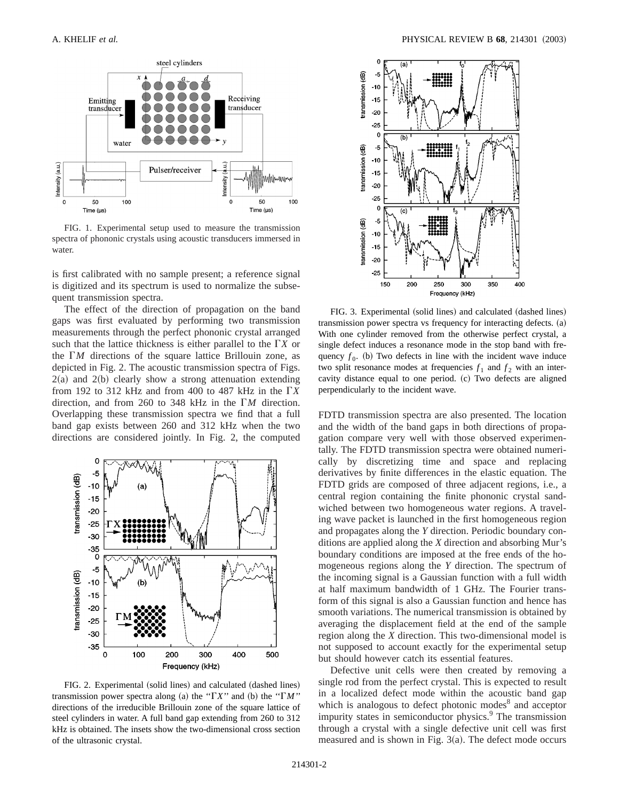

FIG. 1. Experimental setup used to measure the transmission spectra of phononic crystals using acoustic transducers immersed in water.

is first calibrated with no sample present; a reference signal is digitized and its spectrum is used to normalize the subsequent transmission spectra.

The effect of the direction of propagation on the band gaps was first evaluated by performing two transmission measurements through the perfect phononic crystal arranged such that the lattice thickness is either parallel to the  $\Gamma X$  or the  $\Gamma M$  directions of the square lattice Brillouin zone, as depicted in Fig. 2. The acoustic transmission spectra of Figs.  $2(a)$  and  $2(b)$  clearly show a strong attenuation extending from 192 to 312 kHz and from 400 to 487 kHz in the  $\Gamma X$ direction, and from 260 to 348 kHz in the G*M* direction. Overlapping these transmission spectra we find that a full band gap exists between 260 and 312 kHz when the two directions are considered jointly. In Fig. 2, the computed



FIG. 2. Experimental (solid lines) and calculated (dashed lines) transmission power spectra along (a) the " $\Gamma X$ " and (b) the " $\Gamma M$ " directions of the irreducible Brillouin zone of the square lattice of steel cylinders in water. A full band gap extending from 260 to 312 kHz is obtained. The insets show the two-dimensional cross section of the ultrasonic crystal.



FIG. 3. Experimental (solid lines) and calculated (dashed lines)  $transmission power spectra vs frequency for interacting defects.$  (a) With one cylinder removed from the otherwise perfect crystal, a single defect induces a resonance mode in the stop band with frequency  $f_0$ . (b) Two defects in line with the incident wave induce two split resonance modes at frequencies  $f_1$  and  $f_2$  with an intercavity distance equal to one period. (c) Two defects are aligned perpendicularly to the incident wave.

FDTD transmission spectra are also presented. The location and the width of the band gaps in both directions of propagation compare very well with those observed experimentally. The FDTD transmission spectra were obtained numerically by discretizing time and space and replacing derivatives by finite differences in the elastic equation. The FDTD grids are composed of three adjacent regions, i.e., a central region containing the finite phononic crystal sandwiched between two homogeneous water regions. A traveling wave packet is launched in the first homogeneous region and propagates along the *Y* direction. Periodic boundary conditions are applied along the *X* direction and absorbing Mur's boundary conditions are imposed at the free ends of the homogeneous regions along the *Y* direction. The spectrum of the incoming signal is a Gaussian function with a full width at half maximum bandwidth of 1 GHz. The Fourier transform of this signal is also a Gaussian function and hence has smooth variations. The numerical transmission is obtained by averaging the displacement field at the end of the sample region along the *X* direction. This two-dimensional model is not supposed to account exactly for the experimental setup but should however catch its essential features.

Defective unit cells were then created by removing a single rod from the perfect crystal. This is expected to result in a localized defect mode within the acoustic band gap which is analogous to defect photonic modes<sup>8</sup> and acceptor impurity states in semiconductor physics.<sup>9</sup> The transmission through a crystal with a single defective unit cell was first measured and is shown in Fig.  $3(a)$ . The defect mode occurs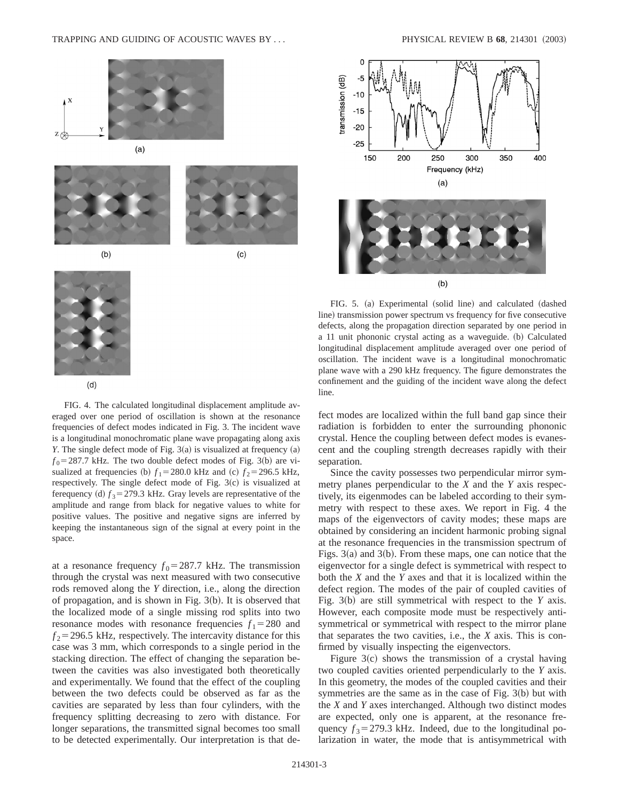



 $(b)$ 



(c)



 $(d)$ 

FIG. 4. The calculated longitudinal displacement amplitude averaged over one period of oscillation is shown at the resonance frequencies of defect modes indicated in Fig. 3. The incident wave is a longitudinal monochromatic plane wave propagating along axis *Y*. The single defect mode of Fig. 3(a) is visualized at frequency (a)  $f_0$ =287.7 kHz. The two double defect modes of Fig. 3(b) are visualized at frequencies (b)  $f_1 = 280.0$  kHz and (c)  $f_2 = 296.5$  kHz, respectively. The single defect mode of Fig.  $3(c)$  is visualized at ferequency (d)  $f_3$  = 279.3 kHz. Gray levels are representative of the amplitude and range from black for negative values to white for positive values. The positive and negative signs are inferred by keeping the instantaneous sign of the signal at every point in the space.

at a resonance frequency  $f_0 = 287.7$  kHz. The transmission through the crystal was next measured with two consecutive rods removed along the *Y* direction, i.e., along the direction of propagation, and is shown in Fig.  $3(b)$ . It is observed that the localized mode of a single missing rod splits into two resonance modes with resonance frequencies  $f_1 = 280$  and  $f_2$ =296.5 kHz, respectively. The intercavity distance for this case was 3 mm, which corresponds to a single period in the stacking direction. The effect of changing the separation between the cavities was also investigated both theoretically and experimentally. We found that the effect of the coupling between the two defects could be observed as far as the cavities are separated by less than four cylinders, with the frequency splitting decreasing to zero with distance. For longer separations, the transmitted signal becomes too small to be detected experimentally. Our interpretation is that de-



FIG. 5. (a) Experimental (solid line) and calculated (dashed line) transmission power spectrum vs frequency for five consecutive defects, along the propagation direction separated by one period in a 11 unit phononic crystal acting as a waveguide. (b) Calculated longitudinal displacement amplitude averaged over one period of oscillation. The incident wave is a longitudinal monochromatic plane wave with a 290 kHz frequency. The figure demonstrates the confinement and the guiding of the incident wave along the defect line.

fect modes are localized within the full band gap since their radiation is forbidden to enter the surrounding phononic crystal. Hence the coupling between defect modes is evanescent and the coupling strength decreases rapidly with their separation.

Since the cavity possesses two perpendicular mirror symmetry planes perpendicular to the *X* and the *Y* axis respectively, its eigenmodes can be labeled according to their symmetry with respect to these axes. We report in Fig. 4 the maps of the eigenvectors of cavity modes; these maps are obtained by considering an incident harmonic probing signal at the resonance frequencies in the transmission spectrum of Figs.  $3(a)$  and  $3(b)$ . From these maps, one can notice that the eigenvector for a single defect is symmetrical with respect to both the *X* and the *Y* axes and that it is localized within the defect region. The modes of the pair of coupled cavities of Fig. 3(b) are still symmetrical with respect to the *Y* axis. However, each composite mode must be respectively antisymmetrical or symmetrical with respect to the mirror plane that separates the two cavities, i.e., the *X* axis. This is confirmed by visually inspecting the eigenvectors.

Figure  $3(c)$  shows the transmission of a crystal having two coupled cavities oriented perpendicularly to the *Y* axis. In this geometry, the modes of the coupled cavities and their symmetries are the same as in the case of Fig.  $3(b)$  but with the *X* and *Y* axes interchanged. Although two distinct modes are expected, only one is apparent, at the resonance frequency  $f_3 = 279.3$  kHz. Indeed, due to the longitudinal polarization in water, the mode that is antisymmetrical with